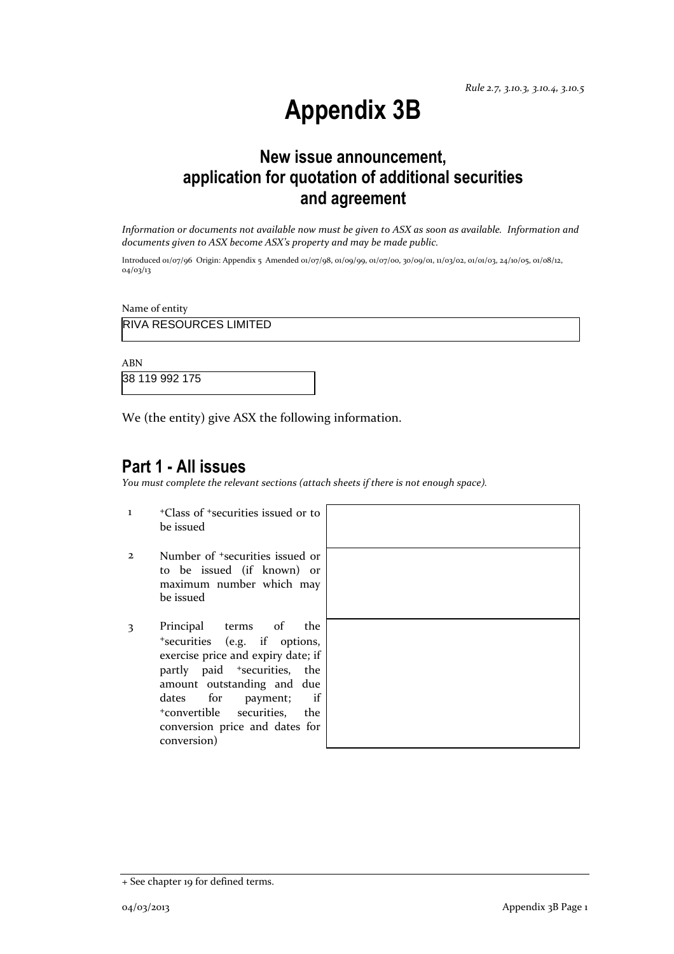# **Appendix 3B**

## **New issue announcement, application for quotation of additional securities and agreement**

*Information or documents not available now must be given to ASX as soon as available. Information and documents given to ASX become ASX's property and may be made public.*

Introduced 01/07/96 Origin: Appendix 5 Amended 01/07/98, 01/09/99, 01/07/00, 30/09/01, 11/03/02, 01/01/03, 24/10/05, 01/08/12, 04/03/13

Name of entity

RIVA RESOURCES LIMITED

ABN

38 119 992 175

We (the entity) give ASX the following information.

### **Part 1 - All issues**

*You must complete the relevant sections (attach sheets if there is not enough space).*

- 1 <sup>+</sup>Class of <sup>+</sup>securities issued or to be issued
- 2 Number of <sup>+</sup>securities issued or to be issued (if known) or maximum number which may be issued
- 3 Principal terms of the <sup>+</sup>securities (e.g. if options, exercise price and expiry date; if partly paid <sup>+</sup>securities, the amount outstanding and due dates for payment; if <sup>+</sup>convertible securities, the conversion price and dates for conversion)



<sup>+</sup> See chapter 19 for defined terms.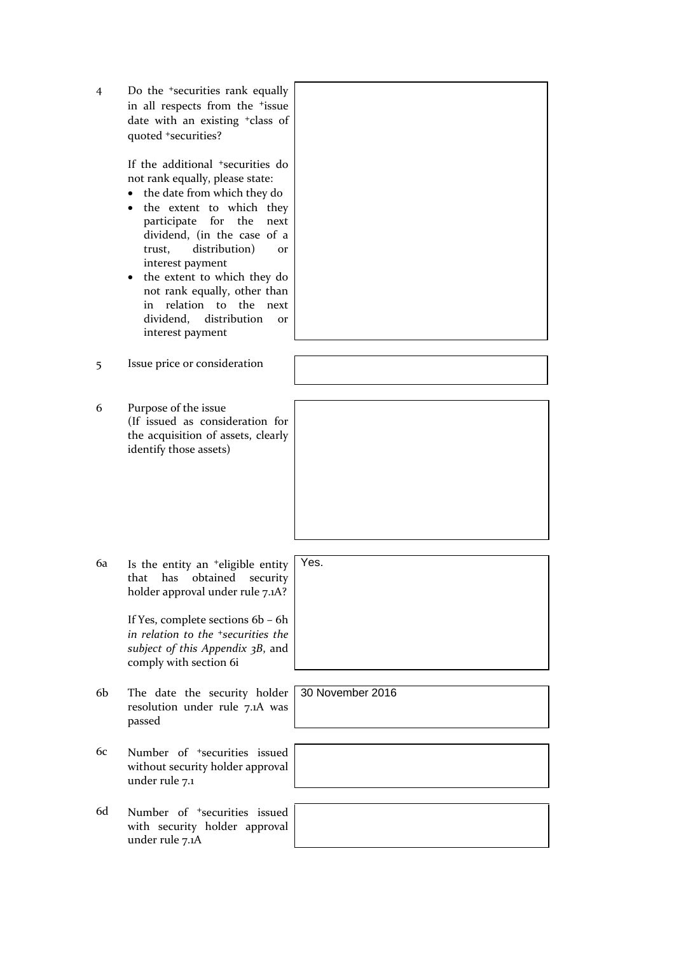| 4 | Do the $\pm$ securities rank equally        |
|---|---------------------------------------------|
|   | in all respects from the <sup>+</sup> issue |
|   | date with an existing $\pm$ class of        |
|   | quoted *securities?                         |

If the additional <sup>+</sup>securities do not rank equally, please state:

- the date from which they do
- the extent to which they participate for the next dividend, (in the case of a trust, distribution) or interest payment
- the extent to which they do not rank equally, other than in relation to the next dividend, distribution or interest payment
- 5 Issue price or consideration
- 6 Purpose of the issue (If issued as consideration for the acquisition of assets, clearly identify those assets)

6a Is the entity an <sup>+</sup>eligible entity that has obtained security holder approval under rule 7.1A?

> If Yes, complete sections 6b – 6h *in relation to the <sup>+</sup>securities the subject of this Appendix 3B*, and comply with section 6i

- 6b The date the security holder resolution under rule 7.1A was passed
- 6c Number of <sup>+</sup>securities issued without security holder approval under rule 7.1
- 6d Number of <sup>+</sup>securities issued with security holder approval under rule 7.1A

Yes.

30 November 2016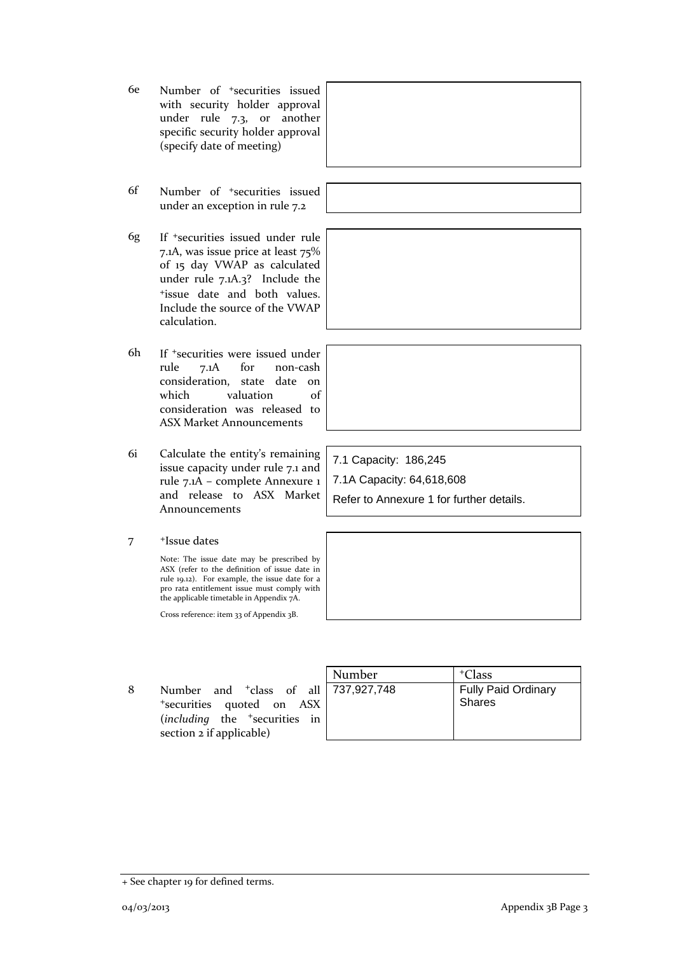- 6e Number of <sup>+</sup>securities issued with security holder approval under rule 7.3, or another specific security holder approval (specify date of meeting)
- 6f Number of <sup>+</sup>securities issued under an exception in rule 7.2
- 6g If <sup>+</sup>securities issued under rule 7.1A, was issue price at least 75% of 15 day VWAP as calculated under rule 7.1A.3? Include the <sup>+</sup>issue date and both values. Include the source of the VWAP calculation.
- 6h If <sup>+</sup>securities were issued under rule 7.1A for non-cash consideration, state date on which valuation of consideration was released to ASX Market Announcements
- 6i Calculate the entity's remaining issue capacity under rule 7.1 and rule 7.1A – complete Annexure 1 and release to ASX Market Announcements
- 7 <sup>+</sup>Issue dates

Note: The issue date may be prescribed by ASX (refer to the definition of issue date in rule 19.12). For example, the issue date for a pro rata entitlement issue must comply with the applicable timetable in Appendix 7A.

Cross reference: item 33 of Appendix 3B.

8 Number and <sup>+</sup>class of all <sup>+</sup>securities quoted on ASX (*including* the <sup>+</sup>securities in section 2 if applicable)

| Number      | <sup>+</sup> Class                          |
|-------------|---------------------------------------------|
| 737,927,748 | <b>Fully Paid Ordinary</b><br><b>Shares</b> |

7.1 Capacity: 186,245 7.1A Capacity: 64,618,608 Refer to Annexure 1 for further details.

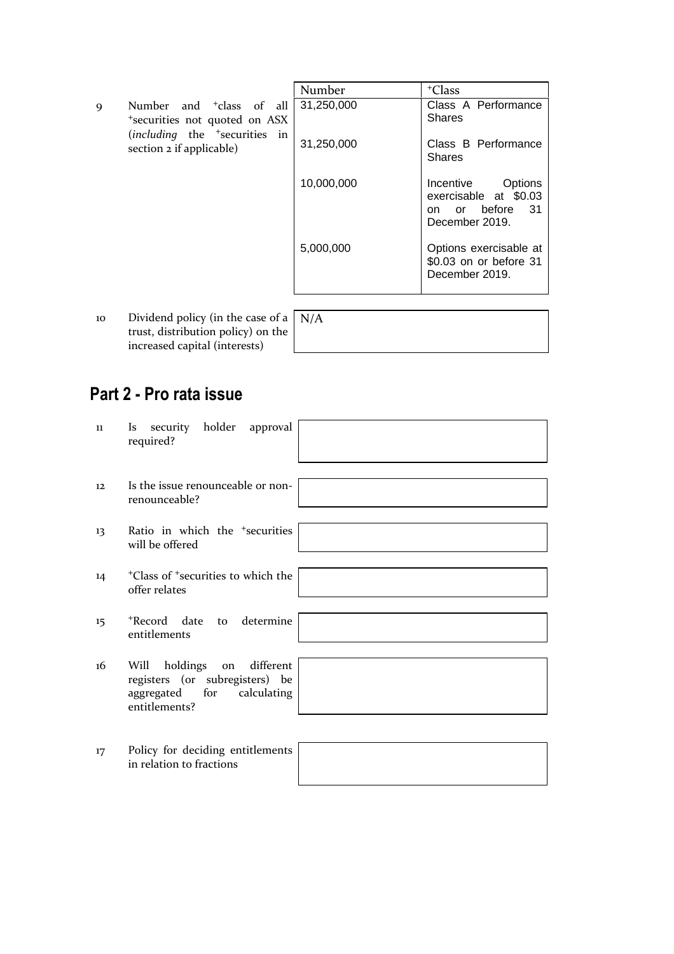|    |                                                                                                            | Number     | <sup>+</sup> Class                                                                         |
|----|------------------------------------------------------------------------------------------------------------|------------|--------------------------------------------------------------------------------------------|
| 9  | Number and <sup>+</sup> class of all<br>*securities not quoted on ASX<br>$(including$ the $+securities$ in | 31,250,000 | Class A Performance<br><b>Shares</b>                                                       |
|    | section 2 if applicable)                                                                                   | 31,250,000 | Class B Performance<br><b>Shares</b>                                                       |
|    |                                                                                                            | 10,000,000 | Incentive<br>Options<br>exercisable at \$0.03<br>or before<br>- 31<br>on<br>December 2019. |
|    |                                                                                                            | 5,000,000  | Options exercisable at<br>\$0.03 on or before 31<br>December 2019.                         |
| 10 | Dividend policy (in the case of a $ N/A$                                                                   |            |                                                                                            |

trust, distribution policy) on the increased capital (interests)

## **Part 2 - Pro rata issue**

| 11 | security holder approval<br>Is<br>required?                                                                       |
|----|-------------------------------------------------------------------------------------------------------------------|
| 12 | Is the issue renounceable or non-<br>renounceable?                                                                |
| 13 | Ratio in which the <sup>+</sup> securities<br>will be offered                                                     |
| 14 | <sup>+</sup> Class of <sup>+</sup> securities to which the<br>offer relates                                       |
| 15 | *Record date to determine<br>entitlements                                                                         |
| 16 | Will holdings<br>different<br>on<br>registers (or subregisters) be<br>aggregated for calculating<br>entitlements? |
| 17 | Policy for deciding entitlements<br>in relation to fractions                                                      |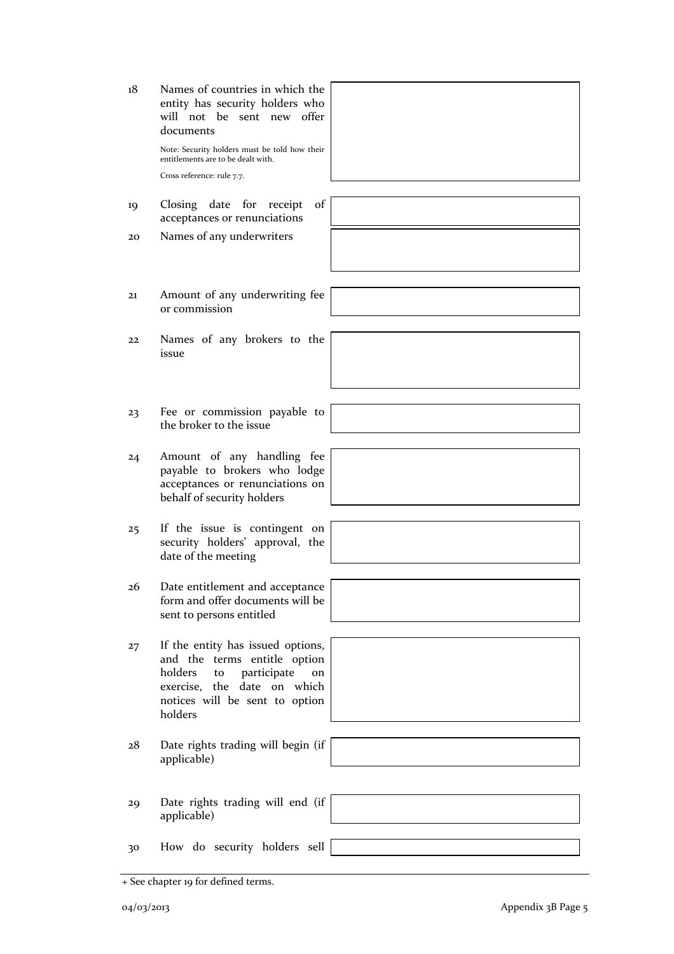| 18 | Names of countries in which the<br>entity has security holders who<br>will not be sent new offer<br>documents<br>Note: Security holders must be told how their<br>entitlements are to be dealt with.<br>Cross reference: rule 7.7. |
|----|------------------------------------------------------------------------------------------------------------------------------------------------------------------------------------------------------------------------------------|
| 19 | Closing date for receipt<br>of<br>acceptances or renunciations                                                                                                                                                                     |
| 20 | Names of any underwriters                                                                                                                                                                                                          |
| 21 | Amount of any underwriting fee<br>or commission                                                                                                                                                                                    |
| 22 | Names of any brokers to the<br>issue                                                                                                                                                                                               |
| 23 | Fee or commission payable to<br>the broker to the issue                                                                                                                                                                            |
| 24 | Amount of any handling fee<br>payable to brokers who lodge<br>acceptances or renunciations on<br>behalf of security holders                                                                                                        |
| 25 | If the issue is contingent on<br>security holders' approval, the<br>date of the meeting                                                                                                                                            |
| 26 | Date entitlement and acceptance<br>form and offer documents will be<br>sent to persons entitled                                                                                                                                    |
| 27 | If the entity has issued options,<br>and the terms entitle option<br>holders<br>participate<br>to<br>on<br>exercise, the date on which<br>notices will be sent to option<br>holders                                                |
| 28 | Date rights trading will begin (if<br>applicable)                                                                                                                                                                                  |
| 29 | Date rights trading will end (if<br>applicable)                                                                                                                                                                                    |
| 30 | How do security holders sell                                                                                                                                                                                                       |

<sup>+</sup> See chapter 19 for defined terms.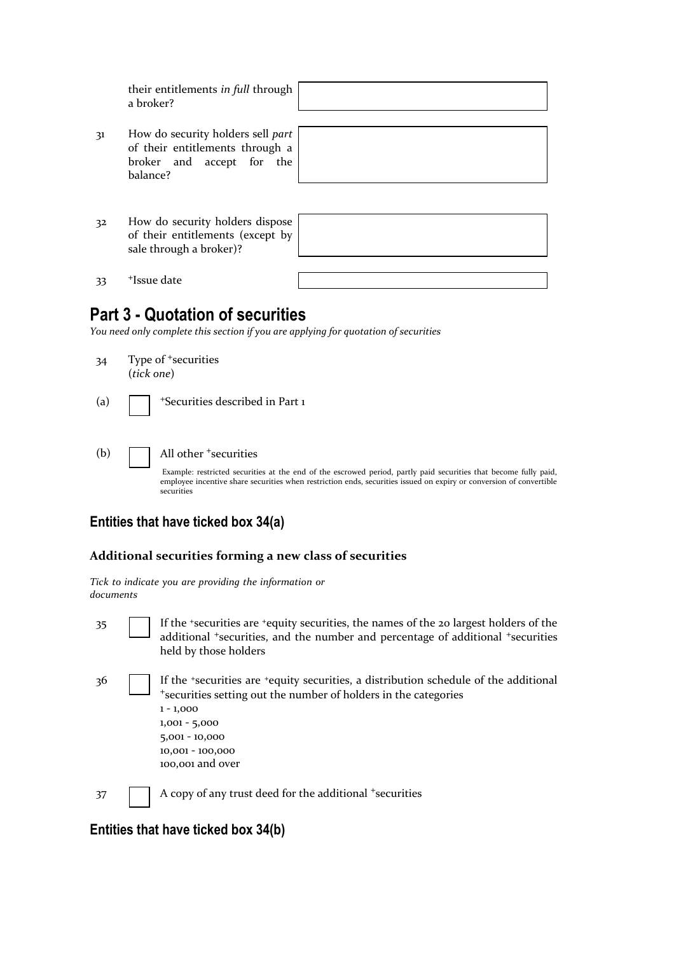| their entitlements in full through |  |
|------------------------------------|--|
| a broker?                          |  |

- 31 How do security holders sell *part* of their entitlements through a broker and accept for the balance?
- 32 How do security holders dispose of their entitlements (except by sale through a broker)?

| and the control of the control of the control of the control of the control of the control of the control of the |  |  |
|------------------------------------------------------------------------------------------------------------------|--|--|
|                                                                                                                  |  |  |
|                                                                                                                  |  |  |
|                                                                                                                  |  |  |
|                                                                                                                  |  |  |
|                                                                                                                  |  |  |
|                                                                                                                  |  |  |
| ,我们也不会有什么。""我们的人,我们也不会有什么?""我们的人,我们也不会有什么?""我们的人,我们也不会有什么?""我们的人,我们也不会有什么?""我们的人                                 |  |  |
|                                                                                                                  |  |  |

33 <sup>+</sup>Issue date

### **Part 3 - Quotation of securities**

*You need only complete this section if you are applying for quotation of securities*

- 34 Type of <sup>+</sup>securities (*tick one*)
- (a)  $\Box$  + Securities described in Part 1
- (b)  $\Box$  All other  $\overline{\phantom{a}}$  securities

Example: restricted securities at the end of the escrowed period, partly paid securities that become fully paid, employee incentive share securities when restriction ends, securities issued on expiry or conversion of convertible securities

#### **Entities that have ticked box 34(a)**

#### **Additional securities forming a new class of securities**

*Tick to indicate you are providing the information or documents*

35 If the <sup>+</sup>securities are <sup>+</sup>equity securities, the names of the 20 largest holders of the additional <sup>+</sup>securities, and the number and percentage of additional <sup>+</sup>securities held by those holders 36 If the <sup>+</sup>securities are <sup>+</sup>equity securities, a distribution schedule of the additional <sup>+</sup>securities setting out the number of holders in the categories 1 - 1,000 1,001 - 5,000 5,001 - 10,000 10,001 - 100,000 100,001 and over

 $37$  A copy of any trust deed for the additional  $+$ securities

#### **Entities that have ticked box 34(b)**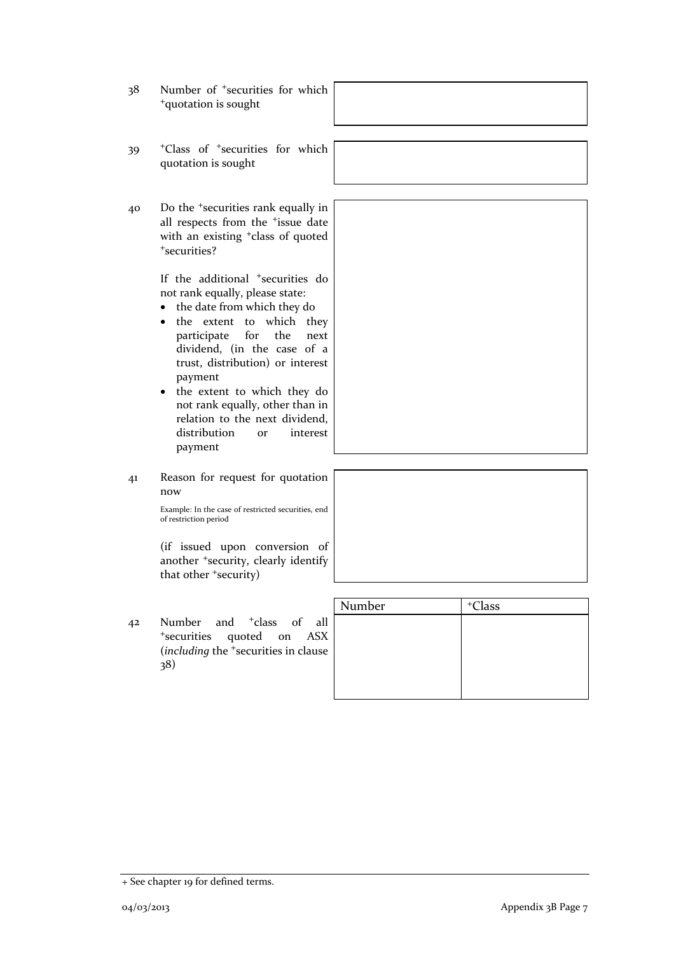| 38 | Number of <sup>+</sup> securities for which<br><sup>+</sup> quotation is sought                                                                                                                                                                                                                                                                                                                                                         |        |                    |
|----|-----------------------------------------------------------------------------------------------------------------------------------------------------------------------------------------------------------------------------------------------------------------------------------------------------------------------------------------------------------------------------------------------------------------------------------------|--------|--------------------|
| 39 | <sup>+</sup> Class of <sup>+</sup> securities for which<br>quotation is sought                                                                                                                                                                                                                                                                                                                                                          |        |                    |
| 40 | Do the <sup>+</sup> securities rank equally in<br>all respects from the <sup>+</sup> issue date<br>with an existing <sup>+</sup> class of quoted<br>*securities?                                                                                                                                                                                                                                                                        |        |                    |
|    | If the additional <sup>+</sup> securities do<br>not rank equally, please state:<br>the date from which they do<br>$\bullet$<br>the extent to which they<br>٠<br>for<br>the<br>participate<br>next<br>dividend, (in the case of a<br>trust, distribution) or interest<br>payment<br>the extent to which they do<br>not rank equally, other than in<br>relation to the next dividend,<br>distribution<br>interest<br><b>or</b><br>payment |        |                    |
| 41 | Reason for request for quotation<br>now<br>Example: In the case of restricted securities, end<br>of restriction period                                                                                                                                                                                                                                                                                                                  |        |                    |
|    | (if issued upon conversion of<br>another <sup>+</sup> security, clearly identify<br>that other 'security)                                                                                                                                                                                                                                                                                                                               |        |                    |
| 42 | and <sup>+</sup> class of all<br>Number<br>*securities quoted on<br><b>ASX</b><br>(including the <sup>+</sup> securities in clause<br>38)                                                                                                                                                                                                                                                                                               | Number | <sup>+</sup> Class |

<sup>+</sup> See chapter 19 for defined terms.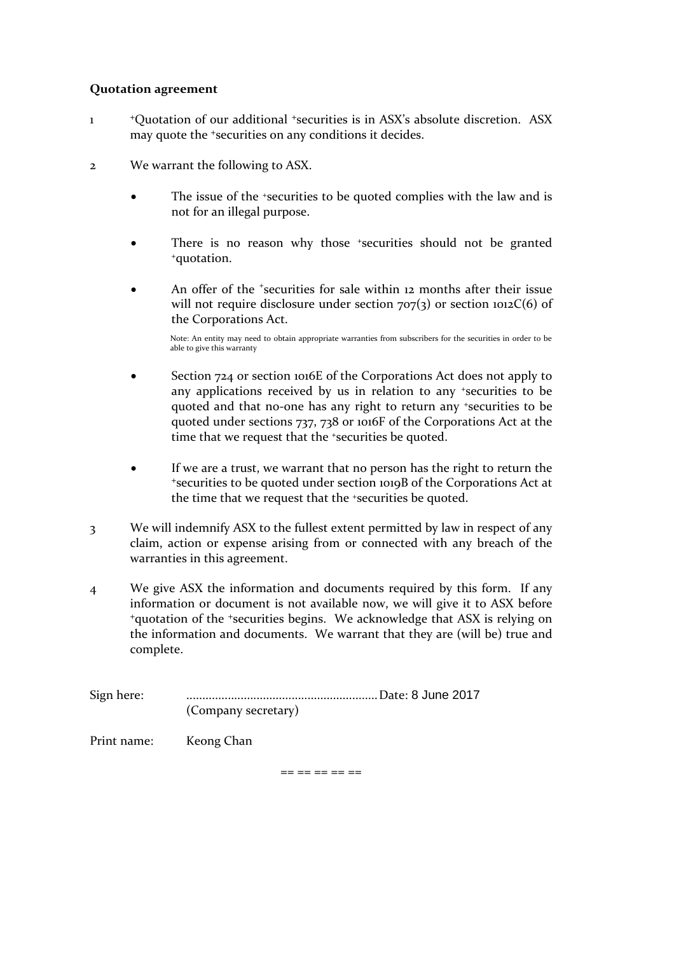#### **Quotation agreement**

- 1 <sup>+</sup>Quotation of our additional <sup>+</sup>securities is in ASX's absolute discretion. ASX may quote the <sup>+</sup>securities on any conditions it decides.
- 2 We warrant the following to ASX.
	- The issue of the <sup>+</sup>securities to be quoted complies with the law and is not for an illegal purpose.
	- There is no reason why those +securities should not be granted <sup>+</sup>quotation.
	- An offer of the *\*securities* for sale within 12 months after their issue will not require disclosure under section  $707(3)$  or section  $1012C(6)$  of the Corporations Act.

Note: An entity may need to obtain appropriate warranties from subscribers for the securities in order to be able to give this warranty

- Section 724 or section 1016E of the Corporations Act does not apply to any applications received by us in relation to any <sup>+</sup>securities to be quoted and that no-one has any right to return any <sup>+</sup>securities to be quoted under sections 737, 738 or 1016F of the Corporations Act at the time that we request that the +securities be quoted.
- If we are a trust, we warrant that no person has the right to return the <sup>+</sup>securities to be quoted under section 1019B of the Corporations Act at the time that we request that the <sup>+</sup>securities be quoted.
- 3 We will indemnify ASX to the fullest extent permitted by law in respect of any claim, action or expense arising from or connected with any breach of the warranties in this agreement.
- 4 We give ASX the information and documents required by this form. If any information or document is not available now, we will give it to ASX before <sup>+</sup>quotation of the <sup>+</sup>securities begins. We acknowledge that ASX is relying on the information and documents. We warrant that they are (will be) true and complete.

Sign here: ............................................................Date: 8 June 2017 (Company secretary)

Print name: Keong Chan

== == == == ==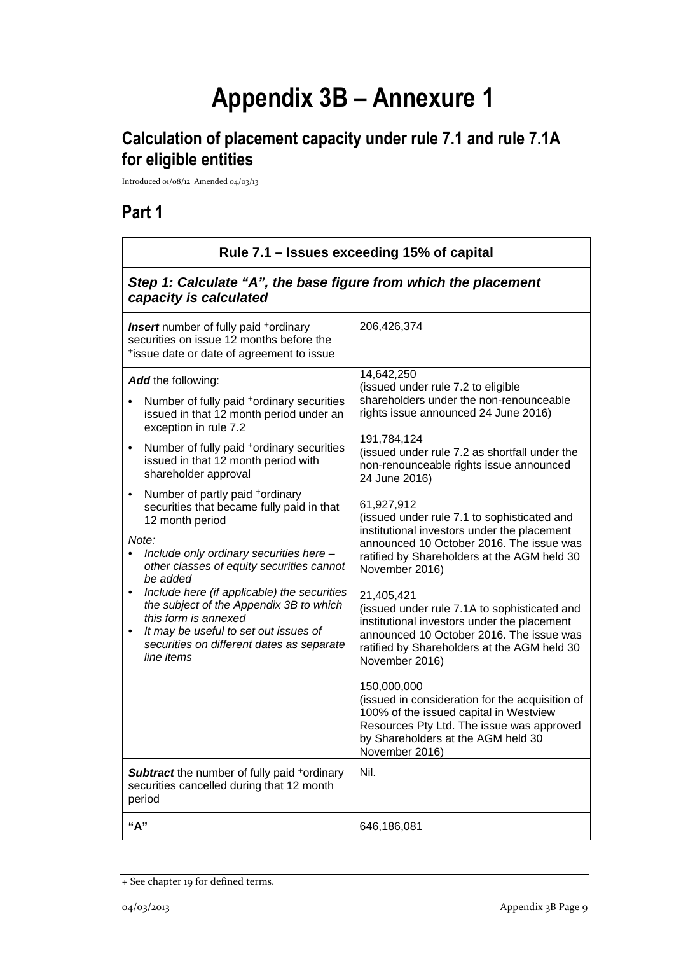# **Appendix 3B – Annexure 1**

# **Calculation of placement capacity under rule 7.1 and rule 7.1A for eligible entities**

Introduced 01/08/12 Amended 04/03/13

## **Part 1**

| Rule 7.1 – Issues exceeding 15% of capital                                                                                                                                                                                                                                                                                                                                                                                                                                                                                                                                                                                                                                                                                                                                                                                               |                                                                                                                                                                                                                                                                                                                                                                                                                                                                                                                                                                                                                                                                                                                                                                                                                                                                                                                                             |  |
|------------------------------------------------------------------------------------------------------------------------------------------------------------------------------------------------------------------------------------------------------------------------------------------------------------------------------------------------------------------------------------------------------------------------------------------------------------------------------------------------------------------------------------------------------------------------------------------------------------------------------------------------------------------------------------------------------------------------------------------------------------------------------------------------------------------------------------------|---------------------------------------------------------------------------------------------------------------------------------------------------------------------------------------------------------------------------------------------------------------------------------------------------------------------------------------------------------------------------------------------------------------------------------------------------------------------------------------------------------------------------------------------------------------------------------------------------------------------------------------------------------------------------------------------------------------------------------------------------------------------------------------------------------------------------------------------------------------------------------------------------------------------------------------------|--|
| Step 1: Calculate "A", the base figure from which the placement<br>capacity is calculated                                                                                                                                                                                                                                                                                                                                                                                                                                                                                                                                                                                                                                                                                                                                                |                                                                                                                                                                                                                                                                                                                                                                                                                                                                                                                                                                                                                                                                                                                                                                                                                                                                                                                                             |  |
| <b>Insert</b> number of fully paid <sup>+</sup> ordinary<br>securities on issue 12 months before the<br>*issue date or date of agreement to issue                                                                                                                                                                                                                                                                                                                                                                                                                                                                                                                                                                                                                                                                                        | 206,426,374                                                                                                                                                                                                                                                                                                                                                                                                                                                                                                                                                                                                                                                                                                                                                                                                                                                                                                                                 |  |
| Add the following:<br>Number of fully paid <sup>+</sup> ordinary securities<br>issued in that 12 month period under an<br>exception in rule 7.2<br>Number of fully paid +ordinary securities<br>٠<br>issued in that 12 month period with<br>shareholder approval<br>Number of partly paid +ordinary<br>٠<br>securities that became fully paid in that<br>12 month period<br>Note:<br>Include only ordinary securities here -<br>$\bullet$<br>other classes of equity securities cannot<br>be added<br>Include here (if applicable) the securities<br>$\bullet$<br>the subject of the Appendix 3B to which<br>this form is annexed<br>It may be useful to set out issues of<br>securities on different dates as separate<br>line items<br><b>Subtract</b> the number of fully paid +ordinary<br>securities cancelled during that 12 month | 14,642,250<br>(issued under rule 7.2 to eligible<br>shareholders under the non-renounceable<br>rights issue announced 24 June 2016)<br>191,784,124<br>(issued under rule 7.2 as shortfall under the<br>non-renounceable rights issue announced<br>24 June 2016)<br>61,927,912<br>(issued under rule 7.1 to sophisticated and<br>institutional investors under the placement<br>announced 10 October 2016. The issue was<br>ratified by Shareholders at the AGM held 30<br>November 2016)<br>21,405,421<br>(issued under rule 7.1A to sophisticated and<br>institutional investors under the placement<br>announced 10 October 2016. The issue was<br>ratified by Shareholders at the AGM held 30<br>November 2016)<br>150,000,000<br>(issued in consideration for the acquisition of<br>100% of the issued capital in Westview<br>Resources Pty Ltd. The issue was approved<br>by Shareholders at the AGM held 30<br>November 2016)<br>Nil. |  |
| period<br>"А"                                                                                                                                                                                                                                                                                                                                                                                                                                                                                                                                                                                                                                                                                                                                                                                                                            | 646,186,081                                                                                                                                                                                                                                                                                                                                                                                                                                                                                                                                                                                                                                                                                                                                                                                                                                                                                                                                 |  |
|                                                                                                                                                                                                                                                                                                                                                                                                                                                                                                                                                                                                                                                                                                                                                                                                                                          |                                                                                                                                                                                                                                                                                                                                                                                                                                                                                                                                                                                                                                                                                                                                                                                                                                                                                                                                             |  |

<sup>+</sup> See chapter 19 for defined terms.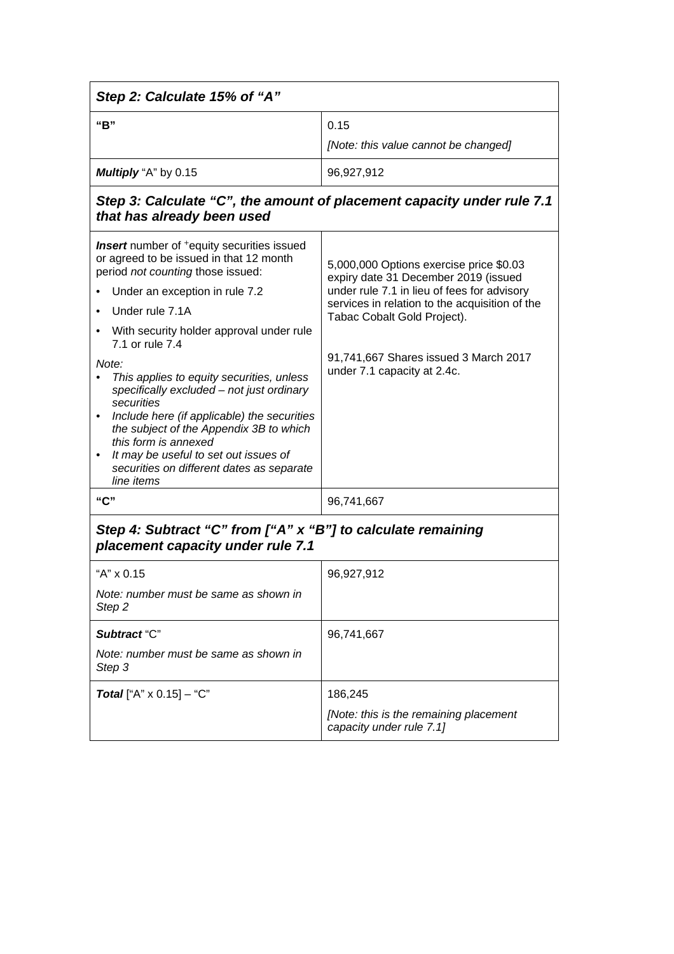| Step 2: Calculate 15% of "A"                                                                                                                                                                                                                                                                                                                                                                                                                                                                                                                                                                             |                                                                                                                                                                                                                                                                                         |  |
|----------------------------------------------------------------------------------------------------------------------------------------------------------------------------------------------------------------------------------------------------------------------------------------------------------------------------------------------------------------------------------------------------------------------------------------------------------------------------------------------------------------------------------------------------------------------------------------------------------|-----------------------------------------------------------------------------------------------------------------------------------------------------------------------------------------------------------------------------------------------------------------------------------------|--|
| "B"                                                                                                                                                                                                                                                                                                                                                                                                                                                                                                                                                                                                      | 0.15<br>[Note: this value cannot be changed]                                                                                                                                                                                                                                            |  |
| Multiply "A" by 0.15                                                                                                                                                                                                                                                                                                                                                                                                                                                                                                                                                                                     | 96,927,912                                                                                                                                                                                                                                                                              |  |
| that has already been used                                                                                                                                                                                                                                                                                                                                                                                                                                                                                                                                                                               | Step 3: Calculate "C", the amount of placement capacity under rule 7.1                                                                                                                                                                                                                  |  |
| <b>Insert</b> number of <sup>+</sup> equity securities issued<br>or agreed to be issued in that 12 month<br>period not counting those issued:<br>Under an exception in rule 7.2<br>Under rule 7.1A<br>With security holder approval under rule<br>7.1 or rule 7.4<br>Note:<br>This applies to equity securities, unless<br>specifically excluded - not just ordinary<br>securities<br>Include here (if applicable) the securities<br>the subject of the Appendix 3B to which<br>this form is annexed<br>It may be useful to set out issues of<br>securities on different dates as separate<br>line items | 5,000,000 Options exercise price \$0.03<br>expiry date 31 December 2019 (issued<br>under rule 7.1 in lieu of fees for advisory<br>services in relation to the acquisition of the<br>Tabac Cobalt Gold Project).<br>91,741,667 Shares issued 3 March 2017<br>under 7.1 capacity at 2.4c. |  |
| "C"                                                                                                                                                                                                                                                                                                                                                                                                                                                                                                                                                                                                      | 96,741,667                                                                                                                                                                                                                                                                              |  |
| Step 4: Subtract "C" from ["A" x "B"] to calculate remaining<br>placement capacity under rule 7.1                                                                                                                                                                                                                                                                                                                                                                                                                                                                                                        |                                                                                                                                                                                                                                                                                         |  |
| "A" x 0.15<br>Note: number must be same as shown in<br>Step 2                                                                                                                                                                                                                                                                                                                                                                                                                                                                                                                                            | 96,927,912                                                                                                                                                                                                                                                                              |  |
| Subtract "C"<br>Note: number must be same as shown in<br>Step 3                                                                                                                                                                                                                                                                                                                                                                                                                                                                                                                                          | 96,741,667                                                                                                                                                                                                                                                                              |  |
| <b>Total</b> ["A" $\times$ 0.15] - "C"                                                                                                                                                                                                                                                                                                                                                                                                                                                                                                                                                                   | 186,245<br>[Note: this is the remaining placement<br>capacity under rule 7.1]                                                                                                                                                                                                           |  |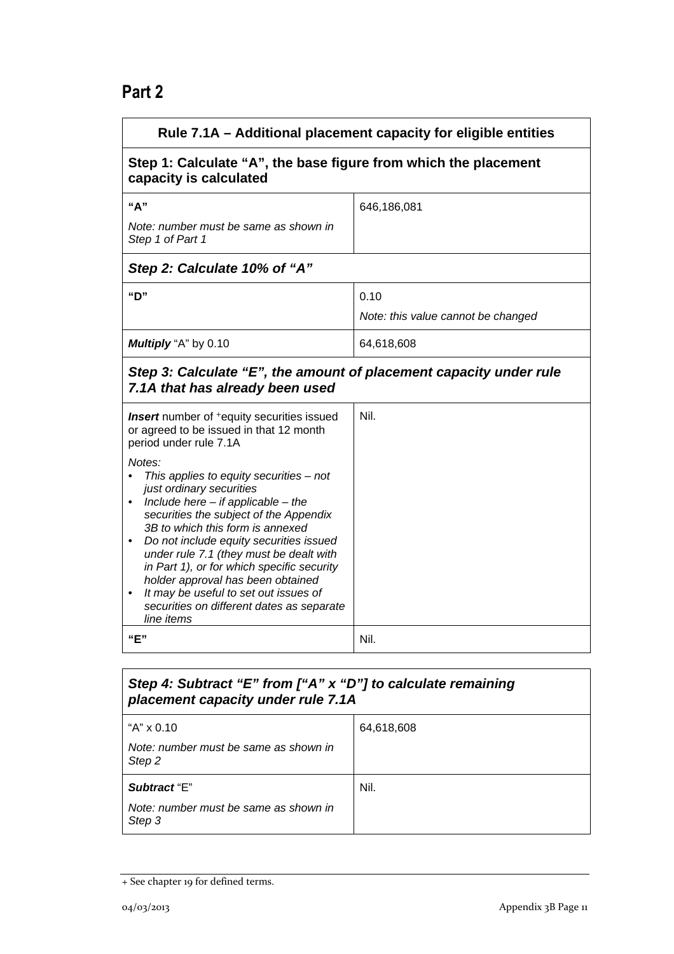## **Part 2**

| Rule 7.1A - Additional placement capacity for eligible entities                                                                                                                                                                                                                                                                                                                                                                                                                    |                                    |  |
|------------------------------------------------------------------------------------------------------------------------------------------------------------------------------------------------------------------------------------------------------------------------------------------------------------------------------------------------------------------------------------------------------------------------------------------------------------------------------------|------------------------------------|--|
| Step 1: Calculate "A", the base figure from which the placement<br>capacity is calculated                                                                                                                                                                                                                                                                                                                                                                                          |                                    |  |
| "A"                                                                                                                                                                                                                                                                                                                                                                                                                                                                                | 646,186,081                        |  |
| Note: number must be same as shown in<br>Step 1 of Part 1                                                                                                                                                                                                                                                                                                                                                                                                                          |                                    |  |
| Step 2: Calculate 10% of "A"                                                                                                                                                                                                                                                                                                                                                                                                                                                       |                                    |  |
| "D"                                                                                                                                                                                                                                                                                                                                                                                                                                                                                | 0.10                               |  |
|                                                                                                                                                                                                                                                                                                                                                                                                                                                                                    | Note: this value cannot be changed |  |
| Multiply "A" by 0.10                                                                                                                                                                                                                                                                                                                                                                                                                                                               | 64,618,608                         |  |
| Step 3: Calculate "E", the amount of placement capacity under rule<br>7.1A that has already been used                                                                                                                                                                                                                                                                                                                                                                              |                                    |  |
| <b>Insert</b> number of <sup>+</sup> equity securities issued<br>or agreed to be issued in that 12 month<br>period under rule 7.1A                                                                                                                                                                                                                                                                                                                                                 | Nil.                               |  |
| Notes:<br>This applies to equity securities - not<br>just ordinary securities<br>Include here $-$ if applicable $-$ the<br>securities the subject of the Appendix<br>3B to which this form is annexed<br>Do not include equity securities issued<br>under rule 7.1 (they must be dealt with<br>in Part 1), or for which specific security<br>holder approval has been obtained<br>It may be useful to set out issues of<br>securities on different dates as separate<br>line items |                                    |  |
| "E"                                                                                                                                                                                                                                                                                                                                                                                                                                                                                | Nil.                               |  |
|                                                                                                                                                                                                                                                                                                                                                                                                                                                                                    |                                    |  |

#### *Step 4: Subtract "E" from ["A" x "D"] to calculate remaining placement capacity under rule 7.1A*

| "A" x 0.10                                      | 64,618,608 |
|-------------------------------------------------|------------|
| Note: number must be same as shown in<br>Step 2 |            |
| Subtract "E"                                    | Nil.       |
| Note: number must be same as shown in<br>Step 3 |            |

<sup>+</sup> See chapter 19 for defined terms.